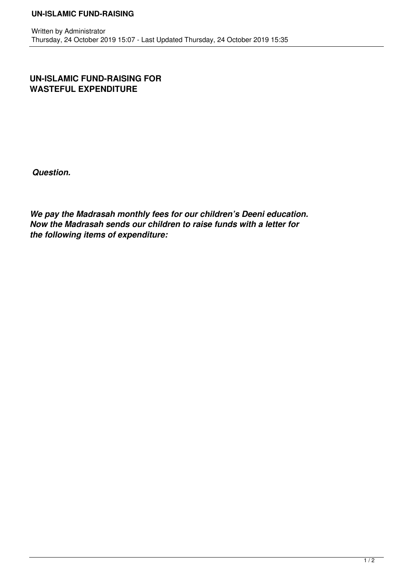**UN-ISLAMIC FUND-RAISING FOR WASTEFUL EXPENDITURE**

*Question.* 

*We pay the Madrasah monthly fees for our children's Deeni education. Now the Madrasah sends our children to raise funds with a letter for the following items of expenditure:*